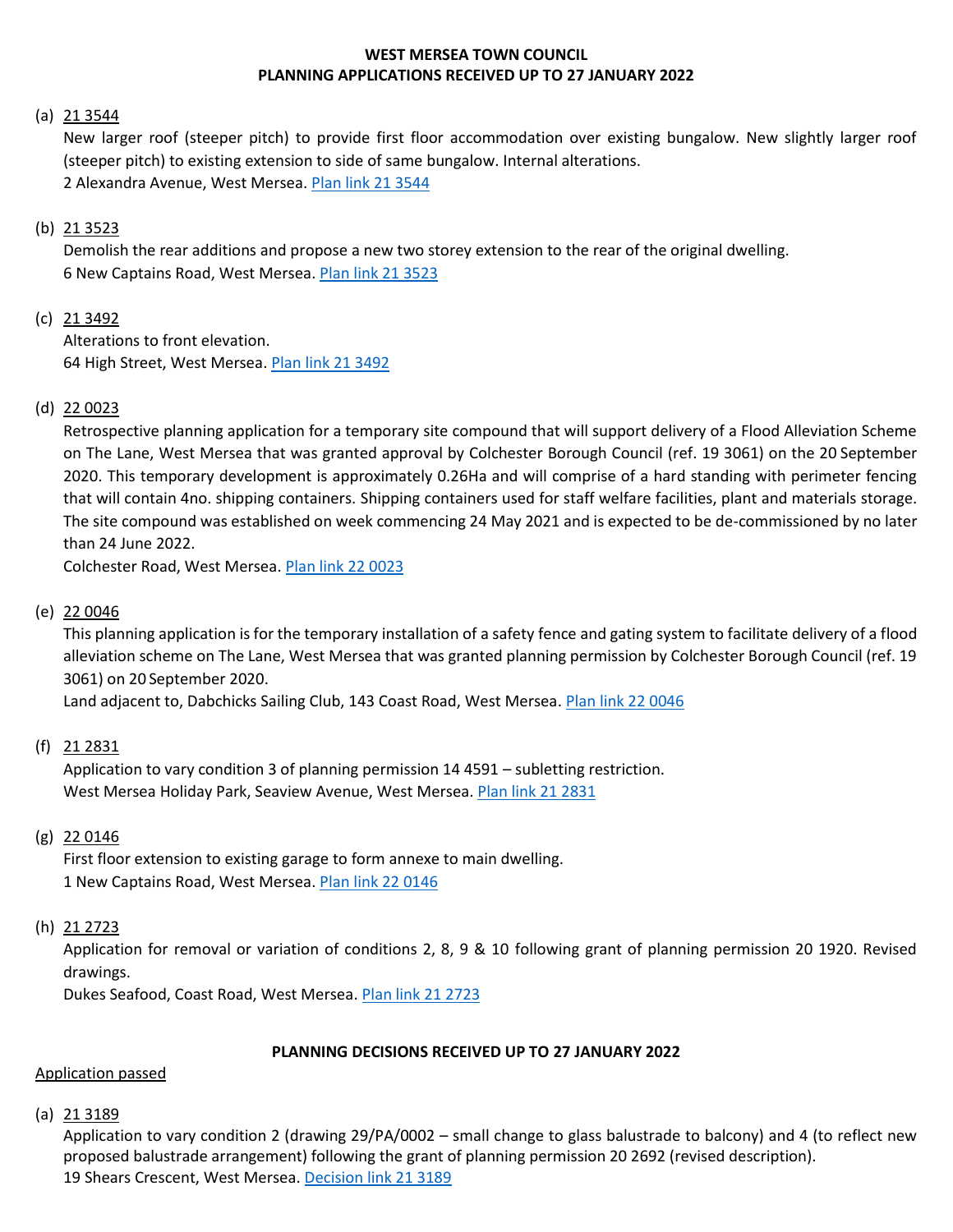# **WEST MERSEA TOWN COUNCIL PLANNING APPLICATIONS RECEIVED UP TO 27 JANUARY 2022**

### (a)  $213544$

New larger roof (steeper pitch) to provide first floor accommodation over existing bungalow. New slightly larger roof (steeper pitch) to existing extension to side of same bungalow. Internal alterations. 2 Alexandra Avenue, West Mersea. [Plan link 21 3544](https://www.colchester.gov.uk/wampd/?id=213544)

# (b) 21 3523

Demolish the rear additions and propose a new two storey extension to the rear of the original dwelling. 6 New Captains Road, West Mersea. [Plan link 21 3523](https://www.colchester.gov.uk/wampd/?id=213523)

# (c) 21 3492

Alterations to front elevation. 64 High Street, West Mersea. [Plan link 21 3492](https://www.colchester.gov.uk/wampd/?id=213492)

# (d) 22 0023

Retrospective planning application for a temporary site compound that will support delivery of a Flood Alleviation Scheme on The Lane, West Mersea that was granted approval by Colchester Borough Council (ref. 19 3061) on the 20 September 2020. This temporary development is approximately 0.26Ha and will comprise of a hard standing with perimeter fencing that will contain 4no. shipping containers. Shipping containers used for staff welfare facilities, plant and materials storage. The site compound was established on week commencing 24 May 2021 and is expected to be de-commissioned by no later than 24 June 2022.

Colchester Road, West Mersea[. Plan link 22 0023](https://www.colchester.gov.uk/wampd/?id=220023)

### (e) 22 0046

This planning application is for the temporary installation of a safety fence and gating system to facilitate delivery of a flood alleviation scheme on The Lane, West Mersea that was granted planning permission by Colchester Borough Council (ref. 19 3061) on 20 September 2020.

Land adjacent to, Dabchicks Sailing Club, 143 Coast Road, West Mersea. [Plan link 22 0046](https://www.colchester.gov.uk/wampd/?id=220046)

#### (f) 21 2831

Application to vary condition 3 of planning permission 14 4591 – subletting restriction. West Mersea Holiday Park, Seaview Avenue, West Mersea. [Plan link 21 2831](https://www.colchester.gov.uk/wampd/?id=212831)

#### (g) 22 0146

First floor extension to existing garage to form annexe to main dwelling. 1 New Captains Road, West Mersea. [Plan link 22 0146](https://www.colchester.gov.uk/wampd/?id=220146)

#### (h) 21 2723

Application for removal or variation of conditions 2, 8, 9 & 10 following grant of planning permission 20 1920. Revised drawings.

Dukes Seafood, Coast Road, West Mersea. [Plan link 21 2723](https://www.colchester.gov.uk/wampd/?id=212723)

#### **PLANNING DECISIONS RECEIVED UP TO 27 JANUARY 2022**

#### Application passed

 $(a)$  21 3189

Application to vary condition 2 (drawing 29/PA/0002 – small change to glass balustrade to balcony) and 4 (to reflect new proposed balustrade arrangement) following the grant of planning permission 20 2692 (revised description). 19 Shears Crescent, West Mersea[. Decision link 21 3189](https://d0cs.colchester.gov.uk/Publisher/mvc/listDocuments?identifier=DC&ref=213189)